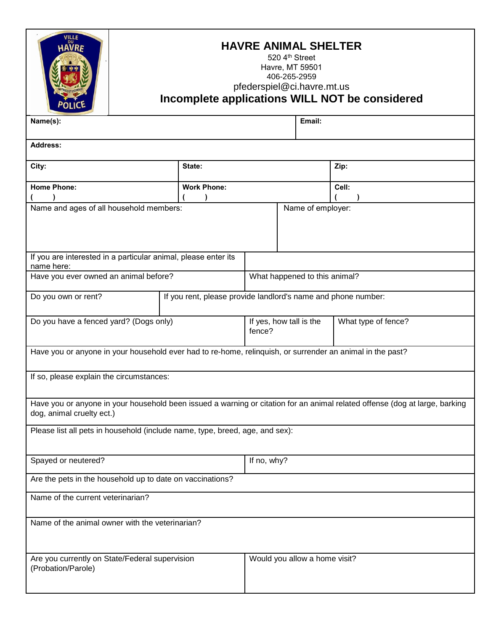|                                                                                                                                                          | <b>HAVRE ANIMAL SHELTER</b><br>520 4th Street<br>Havre, MT 59501<br>406-265-2959<br>pfederspiel@ci.havre.mt.us<br>Incomplete applications WILL NOT be considered |                                   |                   |                     |  |  |  |  |
|----------------------------------------------------------------------------------------------------------------------------------------------------------|------------------------------------------------------------------------------------------------------------------------------------------------------------------|-----------------------------------|-------------------|---------------------|--|--|--|--|
| Name(s):                                                                                                                                                 | Email:                                                                                                                                                           |                                   |                   |                     |  |  |  |  |
| <b>Address:</b>                                                                                                                                          |                                                                                                                                                                  |                                   |                   |                     |  |  |  |  |
| City:                                                                                                                                                    | State:                                                                                                                                                           |                                   |                   | Zip:                |  |  |  |  |
| <b>Home Phone:</b>                                                                                                                                       | <b>Work Phone:</b>                                                                                                                                               |                                   |                   | Cell:               |  |  |  |  |
| Name and ages of all household members:                                                                                                                  |                                                                                                                                                                  |                                   | Name of employer: |                     |  |  |  |  |
|                                                                                                                                                          |                                                                                                                                                                  |                                   |                   |                     |  |  |  |  |
| If you are interested in a particular animal, please enter its<br>name here:                                                                             |                                                                                                                                                                  |                                   |                   |                     |  |  |  |  |
| Have you ever owned an animal before?                                                                                                                    | What happened to this animal?                                                                                                                                    |                                   |                   |                     |  |  |  |  |
| If you rent, please provide landlord's name and phone number:<br>Do you own or rent?                                                                     |                                                                                                                                                                  |                                   |                   |                     |  |  |  |  |
| Do you have a fenced yard? (Dogs only)                                                                                                                   |                                                                                                                                                                  | If yes, how tall is the<br>fence? |                   | What type of fence? |  |  |  |  |
| Have you or anyone in your household ever had to re-home, relinquish, or surrender an animal in the past?                                                |                                                                                                                                                                  |                                   |                   |                     |  |  |  |  |
| If so, please explain the circumstances:                                                                                                                 |                                                                                                                                                                  |                                   |                   |                     |  |  |  |  |
| Have you or anyone in your household been issued a warning or citation for an animal related offense (dog at large, barking<br>dog, animal cruelty ect.) |                                                                                                                                                                  |                                   |                   |                     |  |  |  |  |
| Please list all pets in household (include name, type, breed, age, and sex):                                                                             |                                                                                                                                                                  |                                   |                   |                     |  |  |  |  |
| Spayed or neutered?                                                                                                                                      |                                                                                                                                                                  |                                   |                   | If no, why?         |  |  |  |  |
| Are the pets in the household up to date on vaccinations?                                                                                                |                                                                                                                                                                  |                                   |                   |                     |  |  |  |  |
| Name of the current veterinarian?                                                                                                                        |                                                                                                                                                                  |                                   |                   |                     |  |  |  |  |
| Name of the animal owner with the veterinarian?                                                                                                          |                                                                                                                                                                  |                                   |                   |                     |  |  |  |  |
| Are you currently on State/Federal supervision<br>(Probation/Parole)                                                                                     |                                                                                                                                                                  | Would you allow a home visit?     |                   |                     |  |  |  |  |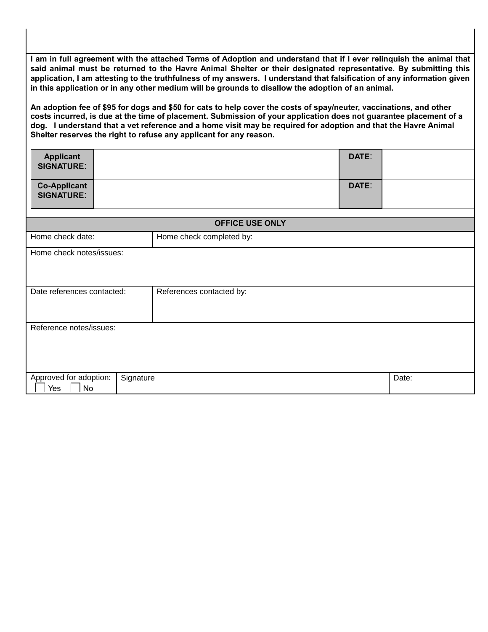**I am in full agreement with the attached Terms of Adoption and understand that if I ever relinquish the animal that said animal must be returned to the Havre Animal Shelter or their designated representative. By submitting this application, I am attesting to the truthfulness of my answers. I understand that falsification of any information given in this application or in any other medium will be grounds to disallow the adoption of an animal.** 

**An adoption fee of \$95 for dogs and \$50 for cats to help cover the costs of spay/neuter, vaccinations, and other costs incurred, is due at the time of placement. Submission of your application does not guarantee placement of a dog. I understand that a vet reference and a home visit may be required for adoption and that the Havre Animal Shelter reserves the right to refuse any applicant for any reason.**

| <b>Applicant</b><br><b>SIGNATURE:</b>    |           |                          | DATE: |       |  |  |  |
|------------------------------------------|-----------|--------------------------|-------|-------|--|--|--|
| <b>Co-Applicant</b><br><b>SIGNATURE:</b> |           |                          | DATE: |       |  |  |  |
| <b>OFFICE USE ONLY</b>                   |           |                          |       |       |  |  |  |
| Home check date:                         |           | Home check completed by: |       |       |  |  |  |
| Home check notes/issues:                 |           |                          |       |       |  |  |  |
| Date references contacted:               |           | References contacted by: |       |       |  |  |  |
| Reference notes/issues:                  |           |                          |       |       |  |  |  |
| Approved for adoption:<br>No<br>Yes      | Signature |                          |       | Date: |  |  |  |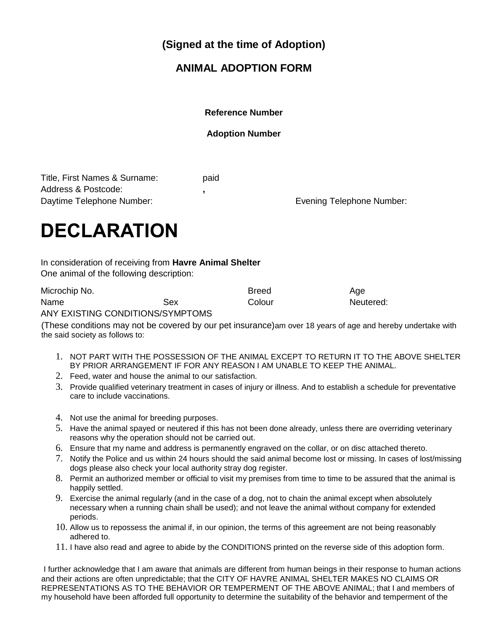**(Signed at the time of Adoption)**

## **ANIMAL ADOPTION FORM**

**Reference Number** 

## **Adoption Number**

Title, First Names & Surname: paid Address & Postcode: **,**  Daytime Telephone Number: example the state of the Evening Telephone Number:

## **DECLARATION**

In consideration of receiving from **Havre Animal Shelter** One animal of the following description:

| Microchip No. |     | <b>Breed</b> | Age       |
|---------------|-----|--------------|-----------|
| Name          | Sex | Colour       | Neutered: |
| $\lambda$     |     |              |           |

ANY EXISTING CONDITIONS/SYMPTOMS

(These conditions may not be covered by our pet insurance)am over 18 years of age and hereby undertake with the said society as follows to:

- 1. NOT PART WITH THE POSSESSION OF THE ANIMAL EXCEPT TO RETURN IT TO THE ABOVE SHELTER BY PRIOR ARRANGEMENT IF FOR ANY REASON I AM UNABLE TO KEEP THE ANIMAL.
- 2. Feed, water and house the animal to our satisfaction.
- 3. Provide qualified veterinary treatment in cases of injury or illness. And to establish a schedule for preventative care to include vaccinations.
- 4. Not use the animal for breeding purposes.
- 5. Have the animal spayed or neutered if this has not been done already, unless there are overriding veterinary reasons why the operation should not be carried out.
- 6. Ensure that my name and address is permanently engraved on the collar, or on disc attached thereto.
- 7. Notify the Police and us within 24 hours should the said animal become lost or missing. In cases of lost/missing dogs please also check your local authority stray dog register.
- 8. Permit an authorized member or official to visit my premises from time to time to be assured that the animal is happily settled.
- 9. Exercise the animal regularly (and in the case of a dog, not to chain the animal except when absolutely necessary when a running chain shall be used); and not leave the animal without company for extended periods.
- 10. Allow us to repossess the animal if, in our opinion, the terms of this agreement are not being reasonably adhered to.
- 11. I have also read and agree to abide by the CONDITIONS printed on the reverse side of this adoption form.

I further acknowledge that I am aware that animals are different from human beings in their response to human actions and their actions are often unpredictable; that the CITY OF HAVRE ANIMAL SHELTER MAKES NO CLAIMS OR REPRESENTATIONS AS TO THE BEHAVIOR OR TEMPERMENT OF THE ABOVE ANIMAL; that I and members of my household have been afforded full opportunity to determine the suitability of the behavior and temperment of the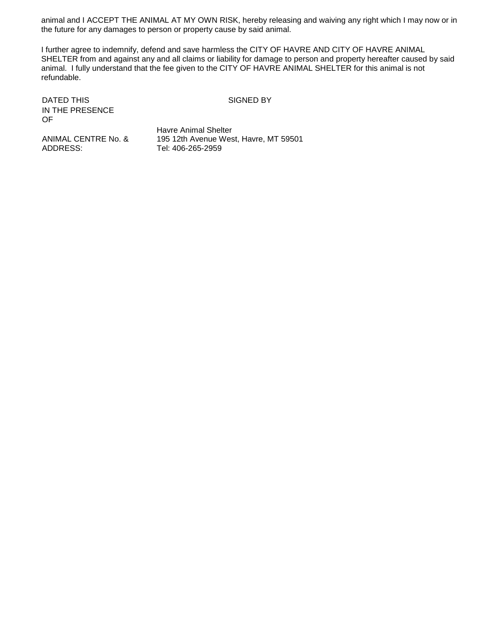animal and I ACCEPT THE ANIMAL AT MY OWN RISK, hereby releasing and waiving any right which I may now or in the future for any damages to person or property cause by said animal.

I further agree to indemnify, defend and save harmless the CITY OF HAVRE AND CITY OF HAVRE ANIMAL SHELTER from and against any and all claims or liability for damage to person and property hereafter caused by said animal. I fully understand that the fee given to the CITY OF HAVRE ANIMAL SHELTER for this animal is not refundable.

DATED THIS SIGNED BY IN THE PRESENCE OF

ANIMAL CENTRE No. & ADDRESS:

Havre Animal Shelter 195 12th Avenue West, Havre, MT 59501 Tel: 406-265-2959